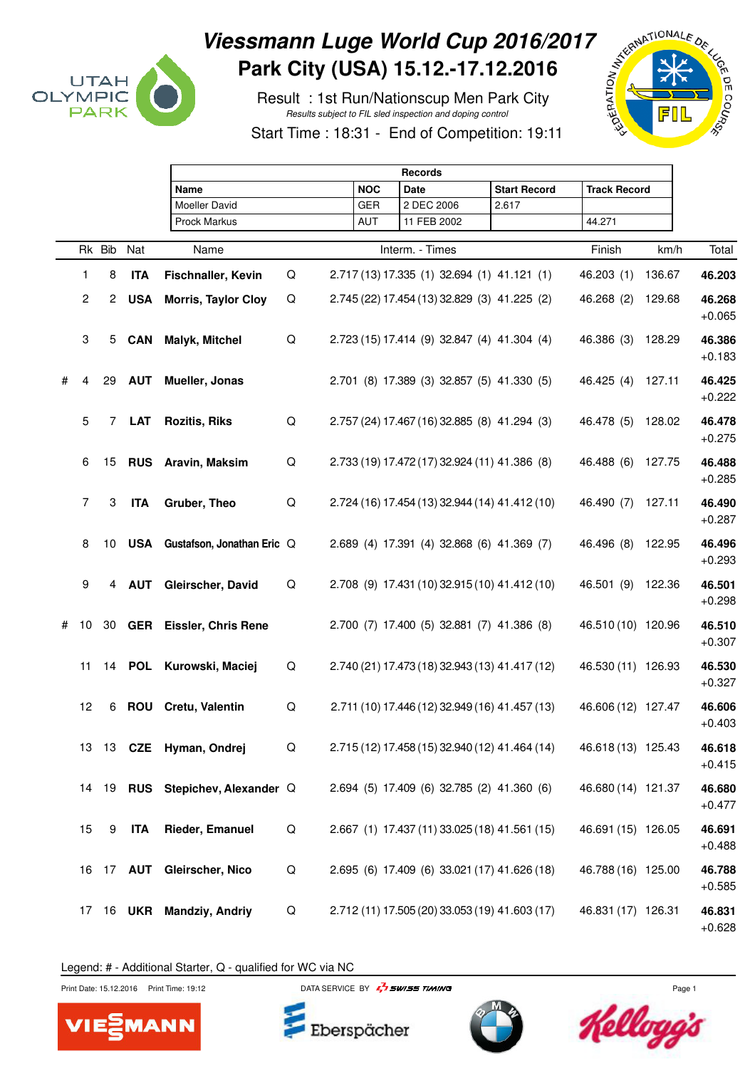

## Viessmann Luge World Cup 2016/2017<br>
Park City (USA) 15.12.-17.12.2016<br>
Result : 1st Run/Nationscup Men Park City<br>
Start Time : 18:31 - End of Open Hart City **Park City (USA) 15.12.-17.12.2016**

 Result : 1st Run/Nationscup Men Park City Results subject to FIL sled inspection and doping control





|   |    |                |               | <b>Records</b>                   |   |            |                                                |                     |                     |        |                    |  |
|---|----|----------------|---------------|----------------------------------|---|------------|------------------------------------------------|---------------------|---------------------|--------|--------------------|--|
|   |    |                |               | Name                             |   | <b>NOC</b> | <b>Date</b>                                    | <b>Start Record</b> | <b>Track Record</b> |        |                    |  |
|   |    |                |               | Moeller David                    |   | GER        | 2 DEC 2006                                     | 2.617               |                     |        |                    |  |
|   |    |                |               | <b>Prock Markus</b>              |   | AUT        | 11 FEB 2002                                    |                     | 44.271              |        |                    |  |
|   |    | Rk Bib         | Nat           | Name                             |   |            | Interm. - Times                                |                     | Finish              | km/h   | Total              |  |
|   | 1  | 8              | <b>ITA</b>    | Fischnaller, Kevin               | Q |            | 2.717 (13) 17.335 (1) 32.694 (1) 41.121 (1)    |                     | 46.203 (1)          | 136.67 | 46.203             |  |
|   | 2  | $\overline{2}$ | <b>USA</b>    | <b>Morris, Taylor Cloy</b>       | Q |            | 2.745 (22) 17.454 (13) 32.829 (3) 41.225 (2)   |                     | 46.268 (2)          | 129.68 | 46.268<br>$+0.065$ |  |
|   | 3  | 5              | <b>CAN</b>    | Malyk, Mitchel                   | Q |            | 2.723 (15) 17.414 (9) 32.847 (4) 41.304 (4)    |                     | 46.386 (3)          | 128.29 | 46.386<br>$+0.183$ |  |
| # | 4  | 29             | <b>AUT</b>    | Mueller, Jonas                   |   |            | 2.701 (8) 17.389 (3) 32.857 (5) 41.330 (5)     |                     | 46.425 (4)          | 127.11 | 46.425<br>$+0.222$ |  |
|   | 5  | 7              | LAT           | <b>Rozitis, Riks</b>             | Q |            | 2.757 (24) 17.467 (16) 32.885 (8) 41.294 (3)   |                     | 46.478 (5)          | 128.02 | 46.478<br>$+0.275$ |  |
|   | 6  | 15             |               | <b>RUS</b> Aravin, Maksim        | Q |            | 2.733 (19) 17.472 (17) 32.924 (11) 41.386 (8)  |                     | 46.488 (6)          | 127.75 | 46.488<br>$+0.285$ |  |
|   | 7  | 3              | <b>ITA</b>    | Gruber, Theo                     | Q |            | 2.724 (16) 17.454 (13) 32.944 (14) 41.412 (10) |                     | 46.490 (7)          | 127.11 | 46.490<br>$+0.287$ |  |
|   | 8  | 10             | <b>USA</b>    | Gustafson, Jonathan Eric Q       |   |            | 2.689 (4) 17.391 (4) 32.868 (6) 41.369 (7)     |                     | 46.496 (8)          | 122.95 | 46.496<br>$+0.293$ |  |
|   | 9  | 4              | <b>AUT</b>    | Gleirscher, David                | Q |            | 2.708 (9) 17.431 (10) 32.915 (10) 41.412 (10)  |                     | 46.501 (9)          | 122.36 | 46.501<br>$+0.298$ |  |
| # | 10 | 30             |               | <b>GER</b> Eissler, Chris Rene   |   |            | 2.700 (7) 17.400 (5) 32.881 (7) 41.386 (8)     |                     | 46.510 (10) 120.96  |        | 46.510<br>$+0.307$ |  |
|   | 11 |                | 14 <b>POL</b> | Kurowski, Maciej                 | Q |            | 2.740 (21) 17.473 (18) 32.943 (13) 41.417 (12) |                     | 46.530 (11) 126.93  |        | 46.530<br>$+0.327$ |  |
|   | 12 | 6              | ROU           | Cretu, Valentin                  | Q |            | 2.711 (10) 17.446 (12) 32.949 (16) 41.457 (13) |                     | 46.606 (12) 127.47  |        | 46.606<br>$+0.403$ |  |
|   | 13 |                |               | 13 CZE Hyman, Ondrej             | Q |            | 2.715 (12) 17.458 (15) 32.940 (12) 41.464 (14) |                     | 46.618 (13) 125.43  |        | 46.618<br>$+0.415$ |  |
|   |    |                |               | 14 19 RUS Stepichev, Alexander Q |   |            | 2.694 (5) 17.409 (6) 32.785 (2) 41.360 (6)     |                     | 46.680 (14) 121.37  |        | 46.680<br>$+0.477$ |  |
|   | 15 | 9              | ITA           | <b>Rieder, Emanuel</b>           | Q |            | 2.667 (1) 17.437 (11) 33.025 (18) 41.561 (15)  |                     | 46.691 (15) 126.05  |        | 46.691<br>$+0.488$ |  |
|   | 16 |                |               | 17 AUT Gleirscher, Nico          | Q |            | 2.695 (6) 17.409 (6) 33.021 (17) 41.626 (18)   |                     | 46.788 (16) 125.00  |        | 46.788<br>$+0.585$ |  |
|   | 17 |                |               | 16 UKR Mandziy, Andriy           | Q |            | 2.712 (11) 17.505 (20) 33.053 (19) 41.603 (17) |                     | 46.831 (17) 126.31  |        | 46.831<br>$+0.628$ |  |

Legend: # - Additional Starter, Q - qualified for WC via NC